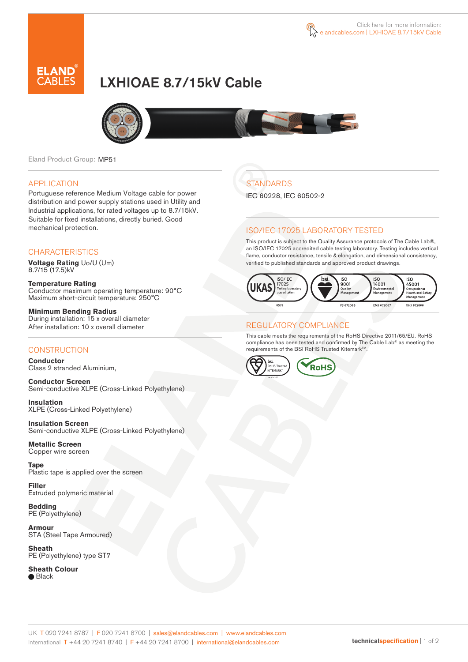

# LXHIOAE 8.7/15kV Cable



Eland Product Group: MP51

#### APPLICATION

Portuguese reference Medium Voltage cable for power distribution and power supply stations used in Utility and Industrial applications, for rated voltages up to 8.7/15kV. Suitable for fixed installations, directly buried. Good mechanical protection.

### **CHARACTERISTICS**

**Voltage Rating** Uo/U (Um) 8.7/15 (17.5)kV

**Temperature Rating** Conductor maximum operating temperature: 90°C Maximum short-circuit temperature: 250°C

**Minimum Bending Radius** During installation: 15 x overall diameter After installation: 10 x overall diameter

### **CONSTRUCTION**

**Conductor**  Class 2 stranded Aluminium,

**Conductor Screen** Semi-conductive XLPE (Cross-Linked Polyethylene)

**Insulation** XLPE (Cross-Linked Polyethylene)

**Insulation Screen** Semi-conductive XLPE (Cross-Linked Polyethylene)

**Metallic Screen**  Copper wire screen

**Tape**  Plastic tape is applied over the screen

**Filler** Extruded polymeric material

**Bedding** PE (Polyethylene)

**Armour** STA (Steel Tape Armoured)

**Sheath** PE (Polyethylene) type ST7

**Sheath Colour ■** Black

## **STANDARDS**

IEC 60228, IEC 60502-2

### ISO/IEC 17025 LABORATORY TESTED

This product is subject to the Quality Assurance protocols of The Cable Lab®, an ISO/IEC 17025 accredited cable testing laboratory. Testing includes vertical flame, conductor resistance, tensile & elongation, and dimensional consistency, verified to published standards and approved product drawings.



#### REGULATORY COMPLIANCE

This cable meets the requirements of the RoHS Directive 2011/65/EU. RoHS compliance has been tested and confirmed by The Cable Lab® as meeting the requirements of the BSI RoHS Trusted Kitemark™.